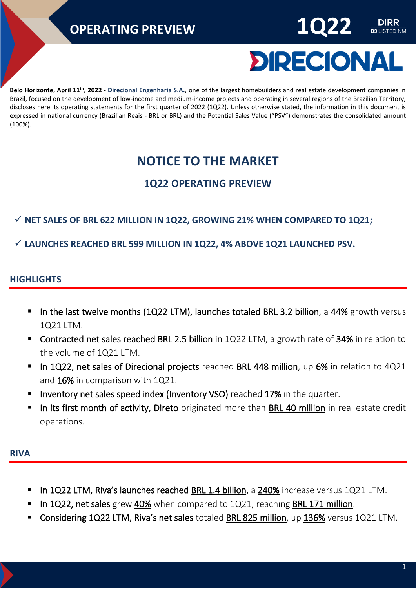

**B3** LISTED NM

**Belo Horizonte, April 11th , 2022 - Direcional Engenharia S.A.**, one of the largest homebuilders and real estate development companies in Brazil, focused on the development of low-income and medium-income projects and operating in several regions of the Brazilian Territory, discloses here its operating statements for the first quarter of 2022 (1Q22). Unless otherwise stated, the information in this document is expressed in national currency (Brazilian Reais - BRL or BRL) and the Potential Sales Value ("PSV") demonstrates the consolidated amount (100%).

### **NOTICE TO THE MARKET**

#### **1Q22 OPERATING PREVIEW**

#### ✓ **NET SALES OF BRL 622 MILLION IN 1Q22, GROWING 21% WHEN COMPARED TO 1Q21;**

✓ **LAUNCHES REACHED BRL 599 MILLION IN 1Q22, 4% ABOVE 1Q21 LAUNCHED PSV.**

#### **HIGHLIGHTS**

- **. In the last twelve months (1Q22 LTM), launches totaled BRL 3.2 billion, a 44% growth versus** 1Q21 LTM.
- Contracted net sales reached BRL 2.5 billion in 1Q22 LTM, a growth rate of 34% in relation to the volume of 1Q21 LTM.
- In 1Q22, net sales of Direcional projects reached BRL 448 million, up 6% in relation to 4Q21 and 16% in comparison with 1Q21.
- **E** Inventory net sales speed index (Inventory VSO) reached 17% in the quarter.
- **. In its first month of activity, Direto** originated more than BRL 40 million in real estate credit operations.

#### **RIVA**

- In 1Q22 LTM, Riva's launches reached BRL 1.4 billion, a 240% increase versus 1Q21 LTM.
- In 1Q22, net sales grew 40% when compared to  $1Q21$ , reaching BRL 171 million.
- Considering 1Q22 LTM, Riva's net sales totaled BRL 825 million, up 136% versus 1Q21 LTM.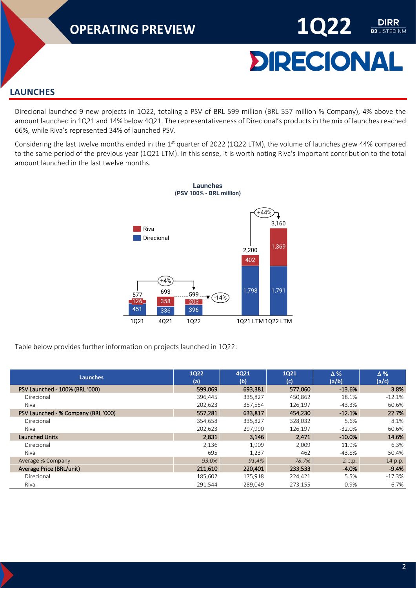

**DIRR B3 LISTED NM** 

#### **LAUNCHES**

Direcional launched 9 new projects in 1Q22, totaling a PSV of BRL 599 million (BRL 557 million % Company), 4% above the amount launched in 1Q21 and 14% below 4Q21. The representativeness of Direcional's products in the mix of launches reached 66%, while Riva's represented 34% of launched PSV.

Considering the last twelve months ended in the  $1<sup>st</sup>$  quarter of 2022 (1Q22 LTM), the volume of launches grew 44% compared to the same period of the previous year (1Q21 LTM). In this sense, it is worth noting Riva's important contribution to the total amount launched in the last twelve months.



Table below provides further information on projects launched in 1Q22:

| Launches                            | <b>1Q22</b><br>(a) | 4Q21<br>(b) | <b>1Q21</b><br>(c) | $\Delta\%$<br>(a/b) | $\Delta\%$<br>(a/c) |
|-------------------------------------|--------------------|-------------|--------------------|---------------------|---------------------|
| PSV Launched - 100% (BRL '000)      | 599,069            | 693,381     | 577,060            | $-13.6%$            | 3.8%                |
| Direcional                          | 396,445            | 335,827     | 450,862            | 18.1%               | $-12.1%$            |
| Riva                                | 202,623            | 357,554     | 126,197            | $-43.3%$            | 60.6%               |
| PSV Launched - % Company (BRL '000) | 557,281            | 633,817     | 454,230            | $-12.1%$            | 22.7%               |
| Direcional                          | 354,658            | 335,827     | 328,032            | 5.6%                | 8.1%                |
| Riva                                | 202,623            | 297,990     | 126,197            | -32.0%              | 60.6%               |
| <b>Launched Units</b>               | 2,831              | 3,146       | 2,471              | $-10.0%$            | 14.6%               |
| Direcional                          | 2,136              | 1,909       | 2,009              | 11.9%               | 6.3%                |
| Riva                                | 695                | 1,237       | 462                | -43.8%              | 50.4%               |
| Average % Company                   | 93.0%              | 91.4%       | 78.7%              | 2 p.p.              | 14 p.p.             |
| Average Price (BRL/unit)            | 211,610            | 220,401     | 233,533            | $-4.0%$             | $-9.4%$             |
| Direcional                          | 185,602            | 175,918     | 224,421            | 5.5%                | $-17.3%$            |
| Riva                                | 291,544            | 289,049     | 273,155            | 0.9%                | 6.7%                |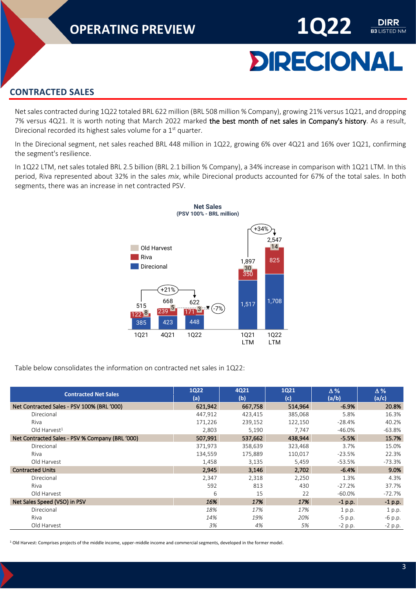# **DIRECIONAL**

DIRR **B3 LISTED NM** 

#### **CONTRACTED SALES**

Net sales contracted during 1Q22 totaled BRL 622 million (BRL 508 million % Company), growing 21% versus 1Q21, and dropping 7% versus 4Q21. It is worth noting that March 2022 marked the best month of net sales in Company's history. As a result, Direcional recorded its highest sales volume for a 1<sup>st</sup> quarter.

In the Direcional segment, net sales reached BRL 448 million in 1Q22, growing 6% over 4Q21 and 16% over 1Q21, confirming the segment's resilience.

In 1Q22 LTM, net sales totaled BRL 2.5 billion (BRL 2.1 billion % Company), a 34% increase in comparison with 1Q21 LTM. In this period, Riva represented about 32% in the sales *mix*, while Direcional products accounted for 67% of the total sales. In both segments, there was an increase in net contracted PSV.



Table below consolidates the information on contracted net sales in 1Q22:

| <b>Contracted Net Sales</b>                     | 1Q22<br>(a) | 4Q21<br>(b) | <b>1Q21</b><br>(c) | $\Delta\%$<br>(a/b) | $\Delta\%$<br>(a/c) |
|-------------------------------------------------|-------------|-------------|--------------------|---------------------|---------------------|
| Net Contracted Sales - PSV 100% (BRL '000)      | 621,942     | 667,758     | 514,964            | $-6.9%$             | 20.8%               |
| Direcional                                      | 447,912     | 423,415     | 385,068            | 5.8%                | 16.3%               |
| Riva                                            | 171,226     | 239,152     | 122,150            | $-28.4%$            | 40.2%               |
| Old Harvest <sup>1</sup>                        | 2,803       | 5,190       | 7,747              | -46.0%              | -63.8%              |
| Net Contracted Sales - PSV % Company (BRL '000) | 507,991     | 537,662     | 438,944            | $-5.5%$             | 15.7%               |
| Direcional                                      | 371,973     | 358,639     | 323,468            | 3.7%                | 15.0%               |
| Riva                                            | 134,559     | 175,889     | 110,017            | $-23.5%$            | 22.3%               |
| Old Harvest                                     | 1,458       | 3,135       | 5,459              | $-53.5%$            | $-73.3%$            |
| <b>Contracted Units</b>                         | 2,945       | 3,146       | 2,702              | $-6.4%$             | 9.0%                |
| Direcional                                      | 2,347       | 2,318       | 2,250              | 1.3%                | 4.3%                |
| Riva                                            | 592         | 813         | 430                | $-27.2%$            | 37.7%               |
| Old Harvest                                     | 6           | 15          | 22                 | $-60.0\%$           | $-72.7%$            |
| Net Sales Speed (VSO) in PSV                    | 16%         | 17%         | 17%                | $-1$ p.p.           | $-1$ p.p.           |
| Direcional                                      | 18%         | 17%         | 17%                | 1 p.p.              | 1 p.p.              |
| Riva                                            | 14%         | 19%         | 20%                | $-5$ p.p.           | $-6$ p.p.           |
| Old Harvest                                     | 3%          | 4%          | 5%                 | $-2$ p.p.           | $-2$ p.p.           |

<sup>1</sup> Old Harvest: Comprises projects of the middle income, upper-middle income and commercial segments, developed in the former model.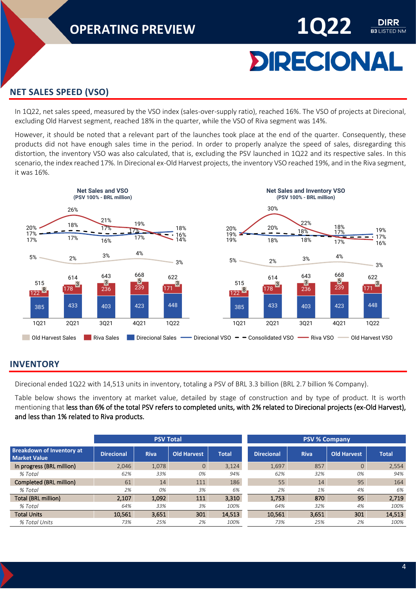# **DIRECIONAL**

DIRR **B3 LISTED NM** 

#### **NET SALES SPEED (VSO)**

In 1Q22, net sales speed, measured by the VSO index (sales-over-supply ratio), reached 16%. The VSO of projects at Direcional, excluding Old Harvest segment, reached 18% in the quarter, while the VSO of Riva segment was 14%.

However, it should be noted that a relevant part of the launches took place at the end of the quarter. Consequently, these products did not have enough sales time in the period. In order to properly analyze the speed of sales, disregarding this distortion, the inventory VSO was also calculated, that is, excluding the PSV launched in 1Q22 and its respective sales. In this scenario, the index reached 17%. In Direcional ex-Old Harvest projects, the inventory VSO reached 19%, and in the Riva segment, it was 16%.



#### **INVENTORY**

Direcional ended 1Q22 with 14,513 units in inventory, totaling a PSV of BRL 3.3 billion (BRL 2.7 billion % Company).

Table below shows the inventory at market value, detailed by stage of construction and by type of product. It is worth mentioning that less than 6% of the total PSV refers to completed units, with 2% related to Direcional projects (ex-Old Harvest), and less than 1% related to Riva products.

|                                                         |                   | <b>PSV Total</b> |                |              | <b>PSV % Company</b> |             |                    |              |  |
|---------------------------------------------------------|-------------------|------------------|----------------|--------------|----------------------|-------------|--------------------|--------------|--|
| <b>Breakdown of Inventory at</b><br><b>Market Value</b> | <b>Direcional</b> | <b>Riva</b>      | Old Harvest    | <b>Total</b> | <b>Direcional</b>    | <b>Riva</b> | <b>Old Harvest</b> | <b>Total</b> |  |
| In progress (BRL million)                               | 2,046             | 1,078            | $\overline{0}$ | 3,124        | 1,697                | 857         | $\mathbf{0}$       | 2,554        |  |
| % Total                                                 | 62%               | 33%              | 0%             | 94%          | 62%                  | 32%         | 0%                 | 94%          |  |
| Completed (BRL million)                                 | 61                | 14               | 111            | 186          | 55                   | 14          | 95                 | 164          |  |
| % Total                                                 | 2%                | 0%               | 3%             | 6%           | 2%                   | 1%          | 4%                 | 6%           |  |
| <b>Total (BRL million)</b>                              | 2.107             | 1.092            | 111            | 3.310        | 1,753                | 870         | 95                 | 2,719        |  |
| % Total                                                 | 64%               | 33%              | 3%             | 100%         | 64%                  | 32%         | 4%                 | 100%         |  |
| <b>Total Units</b>                                      | 10,561            | 3,651            | 301            | 14,513       | 10,561               | 3,651       | 301                | 14,513       |  |
| % Total Units                                           | 73%               | 25%              | 2%             | 100%         | 73%                  | 25%         | 2%                 | 100%         |  |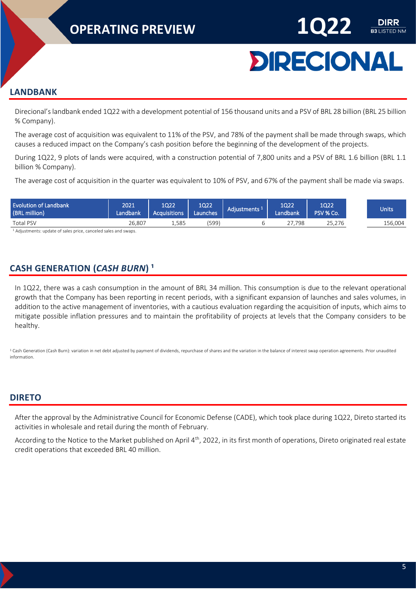

#### **LANDBANK**

Direcional's landbank ended 1Q22 with a development potential of 156 thousand units and a PSV of BRL 28 billion (BRL 25 billion % Company).

The average cost of acquisition was equivalent to 11% of the PSV, and 78% of the payment shall be made through swaps, which causes a reduced impact on the Company's cash position before the beginning of the development of the projects.

During 1Q22, 9 plots of lands were acquired, with a construction potential of 7,800 units and a PSV of BRL 1.6 billion (BRL 1.1 billion % Company).

The average cost of acquisition in the quarter was equivalent to 10% of PSV, and 67% of the payment shall be made via swaps.

| <b>Evolution of Landbank</b><br>(BRL million) | 2021<br>Landbank, | 1Q22<br><b>Acquisitions</b> | 1Q22<br>اLaunches | Adjustments <sup>1</sup> | 1022<br>Landbank | 1022<br>PSV % Co. | Units   |
|-----------------------------------------------|-------------------|-----------------------------|-------------------|--------------------------|------------------|-------------------|---------|
| Total PSV                                     | 26.807            | 1,585                       | (599'             |                          | 7.798            | 25,276            | 156,004 |

<sup>1</sup> Adjustments: update of sales price, canceled sales and swaps.

#### **CASH GENERATION (CASH BURN)<sup>1</sup>**

In 1Q22, there was a cash consumption in the amount of BRL 34 million. This consumption is due to the relevant operational growth that the Company has been reporting in recent periods, with a significant expansion of launches and sales volumes, in addition to the active management of inventories, with a cautious evaluation regarding the acquisition of inputs, which aims to mitigate possible inflation pressures and to maintain the profitability of projects at levels that the Company considers to be healthy.

<sup>1</sup> Cash Generation (Cash Burn): variation in net debt adjusted by payment of dividends, repurchase of shares and the variation in the balance of interest swap operation agreements. Prior unaudited information.

#### **DIRETO**

After the approval by the Administrative Council for Economic Defense (CADE), which took place during 1Q22, Direto started its activities in wholesale and retail during the month of February.

According to the Notice to the Market published on April 4<sup>th</sup>, 2022, in its first month of operations, Direto originated real estate credit operations that exceeded BRL 40 million.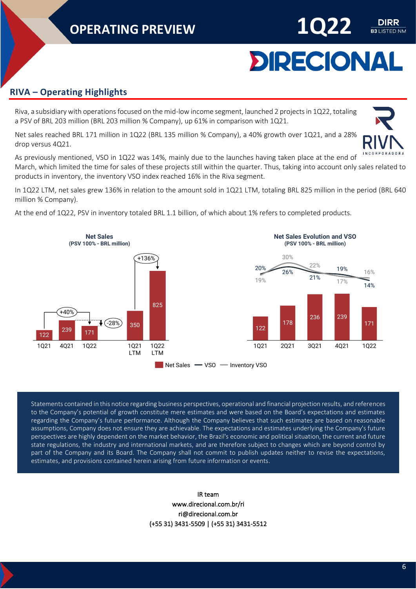# **DIRECIONAL**

**B3** LISTED NM

#### **RIVA – Operating Highlights**

Riva, a subsidiary with operations focused on the mid-low income segment, launched 2 projects in 1Q22, totaling a PSV of BRL 203 million (BRL 203 million % Company), up 61% in comparison with 1Q21.

Net sales reached BRL 171 million in 1Q22 (BRL 135 million % Company), a 40% growth over 1Q21, and a 28% drop versus 4Q21.

As previously mentioned, VSO in 1Q22 was 14%, mainly due to the launches having taken place at the end of March, which limited the time for sales of these projects still within the quarter. Thus, taking into account only sales related to products in inventory, the inventory VSO index reached 16% in the Riva segment.

In 1Q22 LTM, net sales grew 136% in relation to the amount sold in 1Q21 LTM, totaling BRL 825 million in the period (BRL 640 million % Company).

At the end of 1Q22, PSV in inventory totaled BRL 1.1 billion, of which about 1% refers to completed products.



Statements contained in this notice regarding business perspectives, operational and financial projection results, and references to the Company's potential of growth constitute mere estimates and were based on the Board's expectations and estimates regarding the Company's future performance. Although the Company believes that such estimates are based on reasonable assumptions, Company does not ensure they are achievable. The expectations and estimates underlying the Company's future perspectives are highly dependent on the market behavior, the Brazil's economic and political situation, the current and future state regulations, the industry and international markets, and are therefore subject to changes which are beyond control by part of the Company and its Board. The Company shall not commit to publish updates neither to revise the expectations, estimates, and provisions contained herein arising from future information or events.

#### IR team www.direcional.com.br/ri ri@direcional.com.br (+55 31) 3431-5509 | (+55 31) 3431-5512